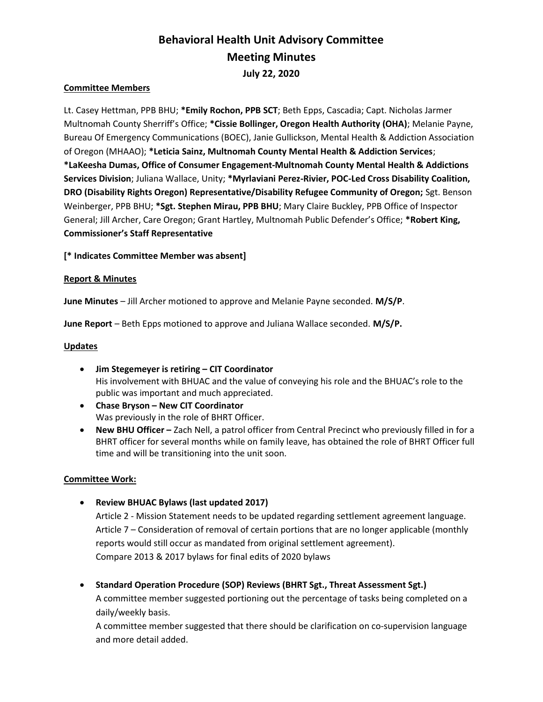# Behavioral Health Unit Advisory Committee Meeting Minutes July 22, 2020

# Committee Members

Lt. Casey Hettman, PPB BHU; \*Emily Rochon, PPB SCT; Beth Epps, Cascadia; Capt. Nicholas Jarmer Multnomah County Sherriff's Office; \*Cissie Bollinger, Oregon Health Authority (OHA); Melanie Payne, Bureau Of Emergency Communications (BOEC), Janie Gullickson, Mental Health & Addiction Association of Oregon (MHAAO); \*Leticia Sainz, Multnomah County Mental Health & Addiction Services; \*LaKeesha Dumas, Office of Consumer Engagement-Multnomah County Mental Health & Addictions Services Division; Juliana Wallace, Unity; \*Myrlaviani Perez-Rivier, POC-Led Cross Disability Coalition, DRO (Disability Rights Oregon) Representative/Disability Refugee Community of Oregon; Sgt. Benson Weinberger, PPB BHU; \*Sgt. Stephen Mirau, PPB BHU; Mary Claire Buckley, PPB Office of Inspector General; Jill Archer, Care Oregon; Grant Hartley, Multnomah Public Defender's Office; \*Robert King, Commissioner's Staff Representative

[\* Indicates Committee Member was absent]

## Report & Minutes

June Minutes – Jill Archer motioned to approve and Melanie Payne seconded. M/S/P.

June Report – Beth Epps motioned to approve and Juliana Wallace seconded. M/S/P.

# **Updates**

- Jim Stegemeyer is retiring CIT Coordinator His involvement with BHUAC and the value of conveying his role and the BHUAC's role to the public was important and much appreciated.
- Chase Bryson New CIT Coordinator Was previously in the role of BHRT Officer.
- New BHU Officer Zach Nell, a patrol officer from Central Precinct who previously filled in for a BHRT officer for several months while on family leave, has obtained the role of BHRT Officer full time and will be transitioning into the unit soon.

## Committee Work:

Review BHUAC Bylaws (last updated 2017)

Article 2 - Mission Statement needs to be updated regarding settlement agreement language. Article 7 – Consideration of removal of certain portions that are no longer applicable (monthly reports would still occur as mandated from original settlement agreement). Compare 2013 & 2017 bylaws for final edits of 2020 bylaws

• Standard Operation Procedure (SOP) Reviews (BHRT Sgt., Threat Assessment Sgt.)

A committee member suggested portioning out the percentage of tasks being completed on a daily/weekly basis.

A committee member suggested that there should be clarification on co-supervision language and more detail added.